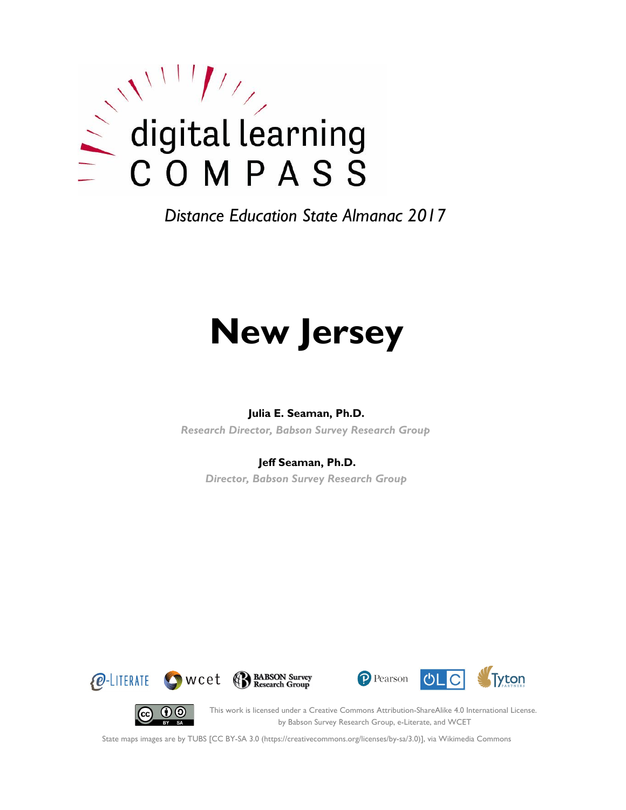

*Distance Education State Almanac 2017*

# **New Jersey**

#### **Julia E. Seaman, Ph.D.**

*Research Director, Babson Survey Research Group*

#### **Jeff Seaman, Ph.D.**

*Director, Babson Survey Research Group*









This work is licensed under a Creative Commons Attribution-ShareAlike 4.0 International License. by Babson Survey Research Group, e-Literate, and WCET

State maps images are by TUBS [CC BY-SA 3.0 (https://creativecommons.org/licenses/by-sa/3.0)], via Wikimedia Commons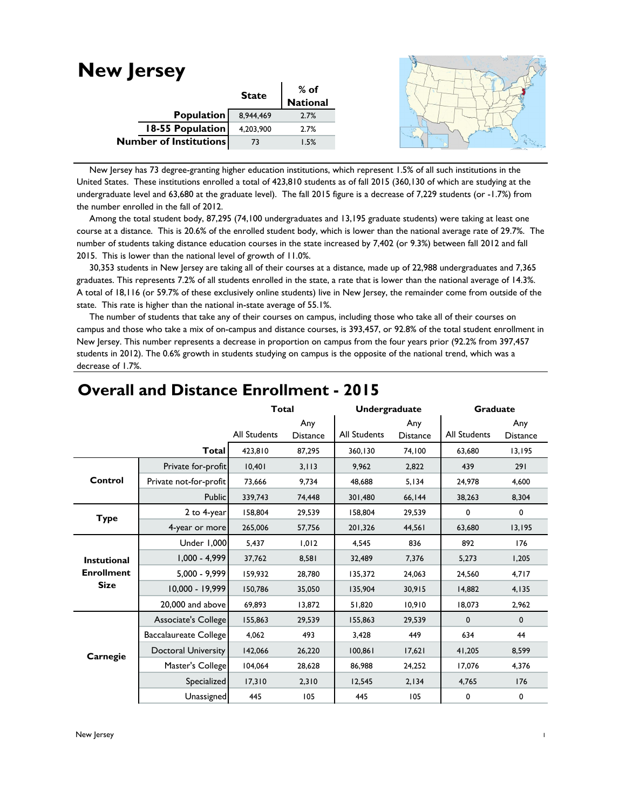#### **New Jersey State % of National** 8,944,469 2.7% 4,203,900 2.7% 73 1.5% **Population 18-55 Population Number of Institutions**

 New Jersey has 73 degree-granting higher education institutions, which represent 1.5% of all such institutions in the United States. These institutions enrolled a total of 423,810 students as of fall 2015 (360,130 of which are studying at the undergraduate level and 63,680 at the graduate level). The fall 2015 figure is a decrease of 7,229 students (or -1.7%) from the number enrolled in the fall of 2012.

 Among the total student body, 87,295 (74,100 undergraduates and 13,195 graduate students) were taking at least one course at a distance. This is 20.6% of the enrolled student body, which is lower than the national average rate of 29.7%. The number of students taking distance education courses in the state increased by 7,402 (or 9.3%) between fall 2012 and fall 2015. This is lower than the national level of growth of 11.0%.

 30,353 students in New Jersey are taking all of their courses at a distance, made up of 22,988 undergraduates and 7,365 graduates. This represents 7.2% of all students enrolled in the state, a rate that is lower than the national average of 14.3%. A total of 18,116 (or 59.7% of these exclusively online students) live in New Jersey, the remainder come from outside of the state. This rate is higher than the national in-state average of 55.1%.

 The number of students that take any of their courses on campus, including those who take all of their courses on campus and those who take a mix of on-campus and distance courses, is 393,457, or 92.8% of the total student enrollment in New Jersey. This number represents a decrease in proportion on campus from the four years prior (92.2% from 397,457 students in 2012). The 0.6% growth in students studying on campus is the opposite of the national trend, which was a decrease of 1.7%.

|                    |                              | <b>Total</b>        |                 |                     | Undergraduate   |              | <b>Graduate</b> |  |
|--------------------|------------------------------|---------------------|-----------------|---------------------|-----------------|--------------|-----------------|--|
|                    |                              |                     | Any             |                     | Any             |              | Any             |  |
|                    |                              | <b>All Students</b> | <b>Distance</b> | <b>All Students</b> | <b>Distance</b> | All Students | <b>Distance</b> |  |
|                    | Total                        | 423,810             | 87,295          | 360,130             | 74,100          | 63.680       | 13,195          |  |
|                    | Private for-profit           | 10,401              | 3, 113          | 9,962               | 2,822           | 439          | 291             |  |
| Control            | Private not-for-profit       | 73,666              | 9,734           | 48,688              | 5,134           | 24,978       | 4,600           |  |
|                    | Public                       | 339,743             | 74,448          | 301,480             | 66,144          | 38,263       | 8,304           |  |
| <b>Type</b>        | 2 to 4-year                  | 158,804             | 29,539          | 158,804             | 29,539          | 0            | 0               |  |
|                    | 4-year or more               | 265,006             | 57,756          | 201,326             | 44,561          | 63,680       | 13,195          |  |
|                    | <b>Under 1,000</b>           | 5,437               | 1,012           | 4,545               | 836             | 892          | 176             |  |
| <b>Instutional</b> | $1,000 - 4,999$              | 37,762              | 8,581           | 32,489              | 7,376           | 5,273        | 1,205           |  |
| <b>Enrollment</b>  | 5,000 - 9,999                | 159,932             | 28,780          | 135,372             | 24,063          | 24,560       | 4,717           |  |
| <b>Size</b>        | 10,000 - 19,999              | 150,786             | 35,050          | 135.904             | 30,915          | 14,882       | 4,135           |  |
|                    | 20,000 and above             | 69,893              | 13,872          | 51,820              | 10,910          | 18,073       | 2,962           |  |
|                    | Associate's College          | 155,863             | 29,539          | 155,863             | 29,539          | $\mathbf 0$  | $\mathbf 0$     |  |
|                    | <b>Baccalaureate College</b> | 4,062               | 493             | 3,428               | 449             | 634          | 44              |  |
| Carnegie           | <b>Doctoral University</b>   | 142,066             | 26,220          | 100,861             | 17,621          | 41,205       | 8,599           |  |
|                    | Master's College             | 104,064             | 28,628          | 86,988              | 24,252          | 17,076       | 4,376           |  |
|                    | Specialized                  | 17,310              | 2,310           | 12,545              | 2,134           | 4,765        | 176             |  |
|                    | Unassigned                   | 445                 | 105             | 445                 | 105             | 0            | 0               |  |

# **Overall and Distance Enrollment - 2015**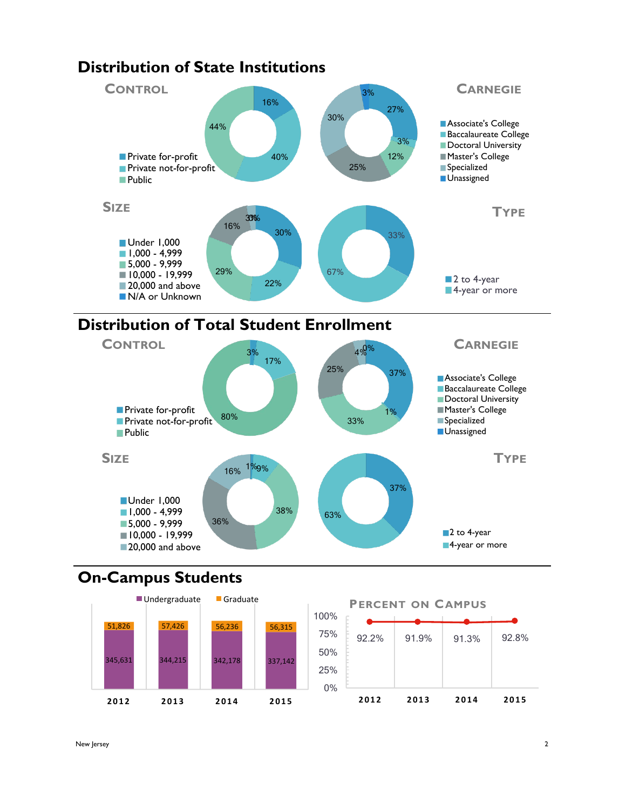

# **Distribution of Total Student Enrollment**



## **On-Campus Students**



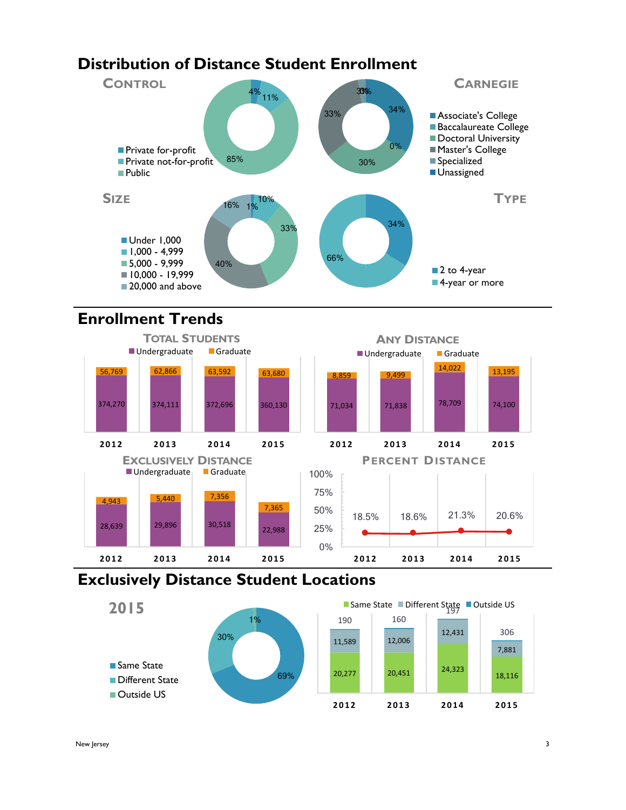# **Distribution of Distance Student Enrollment**



# **Enrollment Trends**



## **Exclusively Distance Student Locations**